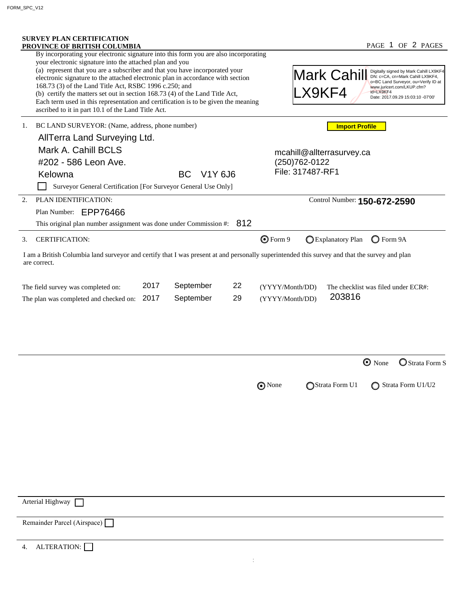| <b>SURVEY PLAN CERTIFICATION</b><br>PROVINCE OF BRITISH COLUMBIA<br>By incorporating your electronic signature into this form you are also incorporating                                                                                                                                                                                                                                                                                                                                                         |                                        |          |                                                                                                                                                                                                                            |                                               |                    | PAGE 1 OF 2 PAGES                  |  |  |
|------------------------------------------------------------------------------------------------------------------------------------------------------------------------------------------------------------------------------------------------------------------------------------------------------------------------------------------------------------------------------------------------------------------------------------------------------------------------------------------------------------------|----------------------------------------|----------|----------------------------------------------------------------------------------------------------------------------------------------------------------------------------------------------------------------------------|-----------------------------------------------|--------------------|------------------------------------|--|--|
| your electronic signature into the attached plan and you<br>(a) represent that you are a subscriber and that you have incorporated your<br>electronic signature to the attached electronic plan in accordance with section<br>168.73 (3) of the Land Title Act, RSBC 1996 c.250; and<br>(b) certify the matters set out in section 168.73 (4) of the Land Title Act,<br>Each term used in this representation and certification is to be given the meaning<br>ascribed to it in part 10.1 of the Land Title Act. |                                        |          | Digitally signed by Mark Cahill LX9KF4<br>DN: c=CA, cn=Mark Cahill LX9KF4,<br>Mark Cahill<br>o=BC Land Surveyor, ou=Verify ID at<br>www.juricert.com/LKUP.cfm?<br>.X9KF4<br>id=LX9KF4<br>Date: 2017.09.29 15:03:10 -07'00' |                                               |                    |                                    |  |  |
| BC LAND SURVEYOR: (Name, address, phone number)<br>1.                                                                                                                                                                                                                                                                                                                                                                                                                                                            |                                        |          |                                                                                                                                                                                                                            | <b>Import Profile</b>                         |                    |                                    |  |  |
| AllTerra Land Surveying Ltd.<br>Mark A. Cahill BCLS<br>#202 - 586 Leon Ave.<br>Kelowna                                                                                                                                                                                                                                                                                                                                                                                                                           | <b>BC</b><br>V1Y 6J6                   |          | mcahill@allterrasurvey.ca<br>(250) 762-0122<br>File: 317487-RF1                                                                                                                                                            |                                               |                    |                                    |  |  |
| Surveyor General Certification [For Surveyor General Use Only]                                                                                                                                                                                                                                                                                                                                                                                                                                                   |                                        |          |                                                                                                                                                                                                                            |                                               |                    |                                    |  |  |
| 2.<br>PLAN IDENTIFICATION:<br>Plan Number: EPP76466<br>This original plan number assignment was done under Commission #: $812$                                                                                                                                                                                                                                                                                                                                                                                   |                                        |          |                                                                                                                                                                                                                            | Control Number: 150-672-2590                  |                    |                                    |  |  |
| <b>CERTIFICATION:</b><br>3.                                                                                                                                                                                                                                                                                                                                                                                                                                                                                      |                                        |          | $Q$ Form 9                                                                                                                                                                                                                 | Explanatory Plan                              | $\bigcirc$ Form 9A |                                    |  |  |
| I am a British Columbia land surveyor and certify that I was present at and personally superintended this survey and that the survey and plan<br>are correct.                                                                                                                                                                                                                                                                                                                                                    |                                        |          |                                                                                                                                                                                                                            |                                               |                    |                                    |  |  |
|                                                                                                                                                                                                                                                                                                                                                                                                                                                                                                                  |                                        |          |                                                                                                                                                                                                                            |                                               |                    |                                    |  |  |
|                                                                                                                                                                                                                                                                                                                                                                                                                                                                                                                  | 2017<br>September<br>2017<br>September | 22<br>29 | (YYYY/Month/DD)<br>(YYYY/Month/DD)                                                                                                                                                                                         | The checklist was filed under ECR#:<br>203816 |                    |                                    |  |  |
|                                                                                                                                                                                                                                                                                                                                                                                                                                                                                                                  |                                        |          |                                                                                                                                                                                                                            |                                               | $\odot$ None       |                                    |  |  |
|                                                                                                                                                                                                                                                                                                                                                                                                                                                                                                                  |                                        | O None   |                                                                                                                                                                                                                            | Strata Form U1                                |                    | Strata Form S<br>Strata Form U1/U2 |  |  |
|                                                                                                                                                                                                                                                                                                                                                                                                                                                                                                                  |                                        |          |                                                                                                                                                                                                                            |                                               |                    |                                    |  |  |
|                                                                                                                                                                                                                                                                                                                                                                                                                                                                                                                  |                                        |          |                                                                                                                                                                                                                            |                                               |                    |                                    |  |  |
|                                                                                                                                                                                                                                                                                                                                                                                                                                                                                                                  |                                        |          |                                                                                                                                                                                                                            |                                               |                    |                                    |  |  |
| The field survey was completed on:<br>The plan was completed and checked on:<br>Arterial Highway<br>Remainder Parcel (Airspace)                                                                                                                                                                                                                                                                                                                                                                                  |                                        |          |                                                                                                                                                                                                                            |                                               |                    |                                    |  |  |